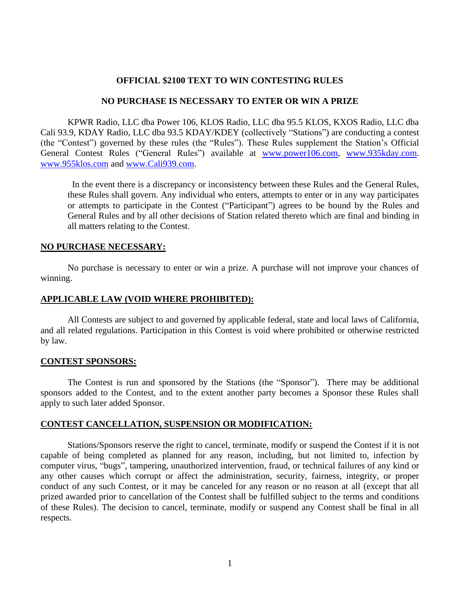## **OFFICIAL \$2100 TEXT TO WIN CONTESTING RULES**

#### **NO PURCHASE IS NECESSARY TO ENTER OR WIN A PRIZE**

KPWR Radio, LLC dba Power 106, KLOS Radio, LLC dba 95.5 KLOS, KXOS Radio, LLC dba Cali 93.9, KDAY Radio, LLC dba 93.5 KDAY/KDEY (collectively "Stations") are conducting a contest (the "Contest") governed by these rules (the "Rules"). These Rules supplement the Station's Official General Contest Rules ("General Rules") available at [www.power106.com,](http://www.power106.com/) [www.935kday.com.](http://www.935kday.com/) [www.955klos.com](http://www.955klos.com/) and [www.Cali939.com.](http://www.cali939.com/)

 In the event there is a discrepancy or inconsistency between these Rules and the General Rules, these Rules shall govern. Any individual who enters, attempts to enter or in any way participates or attempts to participate in the Contest ("Participant") agrees to be bound by the Rules and General Rules and by all other decisions of Station related thereto which are final and binding in all matters relating to the Contest.

## **NO PURCHASE NECESSARY:**

No purchase is necessary to enter or win a prize. A purchase will not improve your chances of winning.

## **APPLICABLE LAW (VOID WHERE PROHIBITED):**

All Contests are subject to and governed by applicable federal, state and local laws of California, and all related regulations. Participation in this Contest is void where prohibited or otherwise restricted by law.

#### **CONTEST SPONSORS:**

The Contest is run and sponsored by the Stations (the "Sponsor"). There may be additional sponsors added to the Contest, and to the extent another party becomes a Sponsor these Rules shall apply to such later added Sponsor.

#### **CONTEST CANCELLATION, SUSPENSION OR MODIFICATION:**

Stations/Sponsors reserve the right to cancel, terminate, modify or suspend the Contest if it is not capable of being completed as planned for any reason, including, but not limited to, infection by computer virus, "bugs", tampering, unauthorized intervention, fraud, or technical failures of any kind or any other causes which corrupt or affect the administration, security, fairness, integrity, or proper conduct of any such Contest, or it may be canceled for any reason or no reason at all (except that all prized awarded prior to cancellation of the Contest shall be fulfilled subject to the terms and conditions of these Rules). The decision to cancel, terminate, modify or suspend any Contest shall be final in all respects.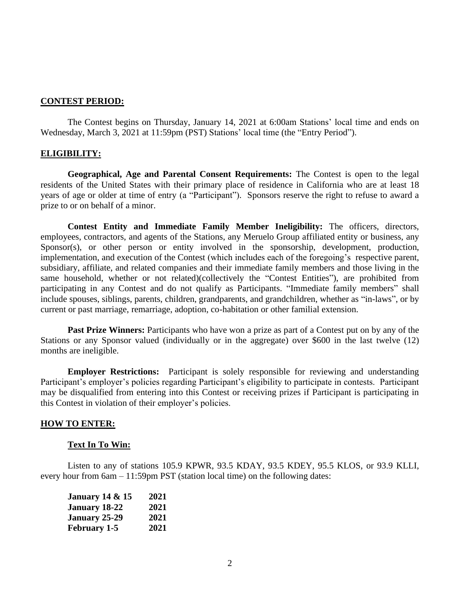#### **CONTEST PERIOD:**

The Contest begins on Thursday, January 14, 2021 at 6:00am Stations' local time and ends on Wednesday, March 3, 2021 at 11:59pm (PST) Stations' local time (the "Entry Period").

## **ELIGIBILITY:**

**Geographical, Age and Parental Consent Requirements:** The Contest is open to the legal residents of the United States with their primary place of residence in California who are at least 18 years of age or older at time of entry (a "Participant"). Sponsors reserve the right to refuse to award a prize to or on behalf of a minor.

**Contest Entity and Immediate Family Member Ineligibility:** The officers, directors, employees, contractors, and agents of the Stations, any Meruelo Group affiliated entity or business, any Sponsor(s), or other person or entity involved in the sponsorship, development, production, implementation, and execution of the Contest (which includes each of the foregoing's respective parent, subsidiary, affiliate, and related companies and their immediate family members and those living in the same household, whether or not related)(collectively the "Contest Entities"), are prohibited from participating in any Contest and do not qualify as Participants. "Immediate family members" shall include spouses, siblings, parents, children, grandparents, and grandchildren, whether as "in-laws", or by current or past marriage, remarriage, adoption, co-habitation or other familial extension.

**Past Prize Winners:** Participants who have won a prize as part of a Contest put on by any of the Stations or any Sponsor valued (individually or in the aggregate) over \$600 in the last twelve (12) months are ineligible.

**Employer Restrictions:** Participant is solely responsible for reviewing and understanding Participant's employer's policies regarding Participant's eligibility to participate in contests. Participant may be disqualified from entering into this Contest or receiving prizes if Participant is participating in this Contest in violation of their employer's policies.

#### **HOW TO ENTER:**

#### **Text In To Win:**

Listen to any of stations 105.9 KPWR, 93.5 KDAY, 93.5 KDEY, 95.5 KLOS, or 93.9 KLLI, every hour from 6am – 11:59pm PST (station local time) on the following dates:

| <b>January 14 &amp; 15</b> | 2021 |
|----------------------------|------|
| January 18-22              | 2021 |
| January 25-29              | 2021 |
| <b>February 1-5</b>        | 2021 |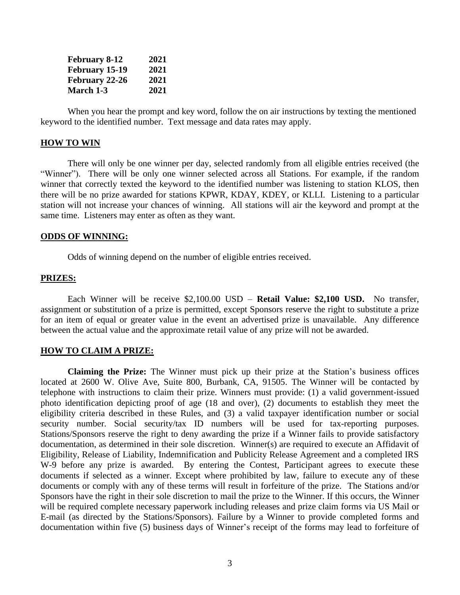| <b>February 8-12</b>  | 2021 |
|-----------------------|------|
| February 15-19        | 2021 |
| <b>February 22-26</b> | 2021 |
| <b>March 1-3</b>      | 2021 |

When you hear the prompt and key word, follow the on air instructions by texting the mentioned keyword to the identified number. Text message and data rates may apply.

#### **HOW TO WIN**

There will only be one winner per day, selected randomly from all eligible entries received (the "Winner"). There will be only one winner selected across all Stations. For example, if the random winner that correctly texted the keyword to the identified number was listening to station KLOS, then there will be no prize awarded for stations KPWR, KDAY, KDEY, or KLLI. Listening to a particular station will not increase your chances of winning. All stations will air the keyword and prompt at the same time. Listeners may enter as often as they want.

#### **ODDS OF WINNING:**

Odds of winning depend on the number of eligible entries received.

## **PRIZES:**

Each Winner will be receive \$2,100.00 USD – **Retail Value: \$2,100 USD.** No transfer, assignment or substitution of a prize is permitted, except Sponsors reserve the right to substitute a prize for an item of equal or greater value in the event an advertised prize is unavailable. Any difference between the actual value and the approximate retail value of any prize will not be awarded.

## **HOW TO CLAIM A PRIZE:**

**Claiming the Prize:** The Winner must pick up their prize at the Station's business offices located at 2600 W. Olive Ave, Suite 800, Burbank, CA, 91505. The Winner will be contacted by telephone with instructions to claim their prize. Winners must provide: (1) a valid government-issued photo identification depicting proof of age (18 and over), (2) documents to establish they meet the eligibility criteria described in these Rules, and (3) a valid taxpayer identification number or social security number. Social security/tax ID numbers will be used for tax-reporting purposes. Stations/Sponsors reserve the right to deny awarding the prize if a Winner fails to provide satisfactory documentation, as determined in their sole discretion. Winner(s) are required to execute an Affidavit of Eligibility, Release of Liability, Indemnification and Publicity Release Agreement and a completed IRS W-9 before any prize is awarded. By entering the Contest, Participant agrees to execute these documents if selected as a winner. Except where prohibited by law, failure to execute any of these documents or comply with any of these terms will result in forfeiture of the prize. The Stations and/or Sponsors have the right in their sole discretion to mail the prize to the Winner. If this occurs, the Winner will be required complete necessary paperwork including releases and prize claim forms via US Mail or E-mail (as directed by the Stations/Sponsors). Failure by a Winner to provide completed forms and documentation within five (5) business days of Winner's receipt of the forms may lead to forfeiture of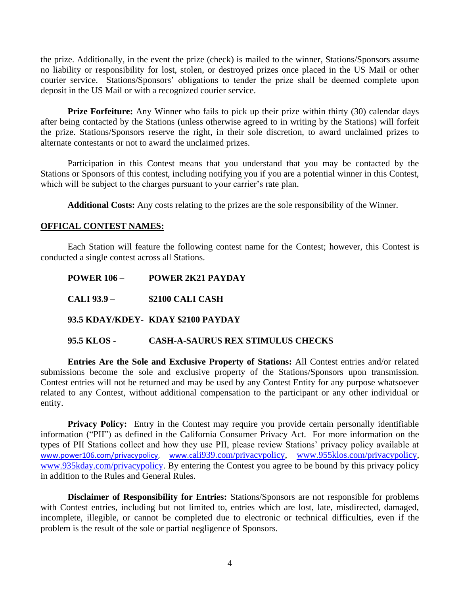the prize. Additionally, in the event the prize (check) is mailed to the winner, Stations/Sponsors assume no liability or responsibility for lost, stolen, or destroyed prizes once placed in the US Mail or other courier service. Stations/Sponsors' obligations to tender the prize shall be deemed complete upon deposit in the US Mail or with a recognized courier service.

**Prize Forfeiture:** Any Winner who fails to pick up their prize within thirty (30) calendar days after being contacted by the Stations (unless otherwise agreed to in writing by the Stations) will forfeit the prize. Stations/Sponsors reserve the right, in their sole discretion, to award unclaimed prizes to alternate contestants or not to award the unclaimed prizes.

Participation in this Contest means that you understand that you may be contacted by the Stations or Sponsors of this contest, including notifying you if you are a potential winner in this Contest, which will be subject to the charges pursuant to your carrier's rate plan.

**Additional Costs:** Any costs relating to the prizes are the sole responsibility of the Winner.

## **OFFICAL CONTEST NAMES:**

Each Station will feature the following contest name for the Contest; however, this Contest is conducted a single contest across all Stations.

| <b>POWER 106 –</b> | POWER 2K21 PAYDAY                        |
|--------------------|------------------------------------------|
| CALI 93.9 –        | \$2100 CALI CASH                         |
|                    | 93.5 KDAY/KDEY- KDAY \$2100 PAYDAY       |
| 95.5 KLOS -        | <b>CASH-A-SAURUS REX STIMULUS CHECKS</b> |

**Entries Are the Sole and Exclusive Property of Stations:** All Contest entries and/or related submissions become the sole and exclusive property of the Stations/Sponsors upon transmission. Contest entries will not be returned and may be used by any Contest Entity for any purpose whatsoever related to any Contest, without additional compensation to the participant or any other individual or entity.

**Privacy Policy:** Entry in the Contest may require you provide certain personally identifiable information ("PII") as defined in the California Consumer Privacy Act. For more information on the types of PII Stations collect and how they use PII, please review Stations' privacy policy available at [www.power106.com/privacypolicy,](http://www.power106.com/privacypolicy) www.c[ali939.com/privacypolicy,](http://www.cali939.com/privacypolicy) [www.955klos.com/privacypolicy,](http://www.955klos.com/privacypolicy) [www.935kday.com/privacypolicy.](http://www.935kday.com/privacypolicy) By entering the Contest you agree to be bound by this privacy policy in addition to the Rules and General Rules.

**Disclaimer of Responsibility for Entries:** Stations/Sponsors are not responsible for problems with Contest entries, including but not limited to, entries which are lost, late, misdirected, damaged, incomplete, illegible, or cannot be completed due to electronic or technical difficulties, even if the problem is the result of the sole or partial negligence of Sponsors.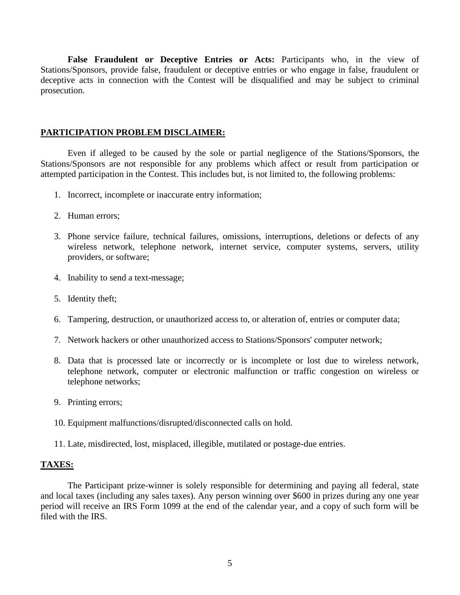**False Fraudulent or Deceptive Entries or Acts:** Participants who, in the view of Stations/Sponsors, provide false, fraudulent or deceptive entries or who engage in false, fraudulent or deceptive acts in connection with the Contest will be disqualified and may be subject to criminal prosecution.

# **PARTICIPATION PROBLEM DISCLAIMER:**

Even if alleged to be caused by the sole or partial negligence of the Stations/Sponsors, the Stations/Sponsors are not responsible for any problems which affect or result from participation or attempted participation in the Contest. This includes but, is not limited to, the following problems:

- 1. Incorrect, incomplete or inaccurate entry information;
- 2. Human errors;
- 3. Phone service failure, technical failures, omissions, interruptions, deletions or defects of any wireless network, telephone network, internet service, computer systems, servers, utility providers, or software;
- 4. Inability to send a text-message;
- 5. Identity theft;
- 6. Tampering, destruction, or unauthorized access to, or alteration of, entries or computer data;
- 7. Network hackers or other unauthorized access to Stations/Sponsors' computer network;
- 8. Data that is processed late or incorrectly or is incomplete or lost due to wireless network, telephone network, computer or electronic malfunction or traffic congestion on wireless or telephone networks;
- 9. Printing errors;
- 10. Equipment malfunctions/disrupted/disconnected calls on hold.
- 11. Late, misdirected, lost, misplaced, illegible, mutilated or postage-due entries.

# **TAXES:**

The Participant prize-winner is solely responsible for determining and paying all federal, state and local taxes (including any sales taxes). Any person winning over \$600 in prizes during any one year period will receive an IRS Form 1099 at the end of the calendar year, and a copy of such form will be filed with the IRS.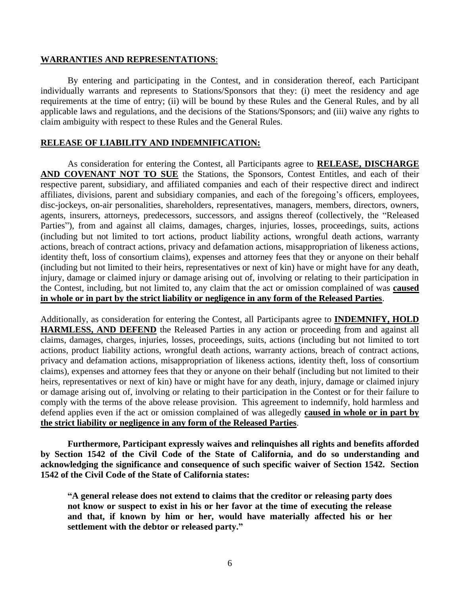#### **WARRANTIES AND REPRESENTATIONS**:

By entering and participating in the Contest, and in consideration thereof, each Participant individually warrants and represents to Stations/Sponsors that they: (i) meet the residency and age requirements at the time of entry; (ii) will be bound by these Rules and the General Rules, and by all applicable laws and regulations, and the decisions of the Stations/Sponsors; and (iii) waive any rights to claim ambiguity with respect to these Rules and the General Rules.

## **RELEASE OF LIABILITY AND INDEMNIFICATION:**

As consideration for entering the Contest, all Participants agree to **RELEASE, DISCHARGE AND COVENANT NOT TO SUE** the Stations, the Sponsors, Contest Entitles, and each of their respective parent, subsidiary, and affiliated companies and each of their respective direct and indirect affiliates, divisions, parent and subsidiary companies, and each of the foregoing's officers, employees, disc-jockeys, on-air personalities, shareholders, representatives, managers, members, directors, owners, agents, insurers, attorneys, predecessors, successors, and assigns thereof (collectively, the "Released Parties"), from and against all claims, damages, charges, injuries, losses, proceedings, suits, actions (including but not limited to tort actions, product liability actions, wrongful death actions, warranty actions, breach of contract actions, privacy and defamation actions, misappropriation of likeness actions, identity theft, loss of consortium claims), expenses and attorney fees that they or anyone on their behalf (including but not limited to their heirs, representatives or next of kin) have or might have for any death, injury, damage or claimed injury or damage arising out of, involving or relating to their participation in the Contest, including, but not limited to, any claim that the act or omission complained of was **caused in whole or in part by the strict liability or negligence in any form of the Released Parties**.

Additionally, as consideration for entering the Contest, all Participants agree to **INDEMNIFY, HOLD HARMLESS, AND DEFEND** the Released Parties in any action or proceeding from and against all claims, damages, charges, injuries, losses, proceedings, suits, actions (including but not limited to tort actions, product liability actions, wrongful death actions, warranty actions, breach of contract actions, privacy and defamation actions, misappropriation of likeness actions, identity theft, loss of consortium claims), expenses and attorney fees that they or anyone on their behalf (including but not limited to their heirs, representatives or next of kin) have or might have for any death, injury, damage or claimed injury or damage arising out of, involving or relating to their participation in the Contest or for their failure to comply with the terms of the above release provision. This agreement to indemnify, hold harmless and defend applies even if the act or omission complained of was allegedly **caused in whole or in part by the strict liability or negligence in any form of the Released Parties**.

**Furthermore, Participant expressly waives and relinquishes all rights and benefits afforded by Section 1542 of the Civil Code of the State of California, and do so understanding and acknowledging the significance and consequence of such specific waiver of Section 1542. Section 1542 of the Civil Code of the State of California states:**

**"A general release does not extend to claims that the creditor or releasing party does not know or suspect to exist in his or her favor at the time of executing the release and that, if known by him or her, would have materially affected his or her settlement with the debtor or released party."**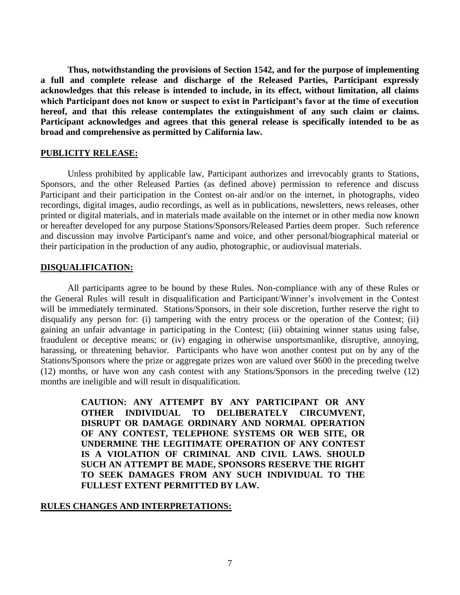**Thus, notwithstanding the provisions of Section 1542, and for the purpose of implementing a full and complete release and discharge of the Released Parties, Participant expressly acknowledges that this release is intended to include, in its effect, without limitation, all claims which Participant does not know or suspect to exist in Participant's favor at the time of execution hereof, and that this release contemplates the extinguishment of any such claim or claims. Participant acknowledges and agrees that this general release is specifically intended to be as broad and comprehensive as permitted by California law.**

#### **PUBLICITY RELEASE:**

Unless prohibited by applicable law, Participant authorizes and irrevocably grants to Stations, Sponsors, and the other Released Parties (as defined above) permission to reference and discuss Participant and their participation in the Contest on-air and/or on the internet, in photographs, video recordings, digital images, audio recordings, as well as in publications, newsletters, news releases, other printed or digital materials, and in materials made available on the internet or in other media now known or hereafter developed for any purpose Stations/Sponsors/Released Parties deem proper. Such reference and discussion may involve Participant's name and voice, and other personal/biographical material or their participation in the production of any audio, photographic, or audiovisual materials.

## **DISQUALIFICATION:**

All participants agree to be bound by these Rules. Non-compliance with any of these Rules or the General Rules will result in disqualification and Participant/Winner's involvement in the Contest will be immediately terminated. Stations/Sponsors, in their sole discretion, further reserve the right to disqualify any person for: (i) tampering with the entry process or the operation of the Contest; (ii) gaining an unfair advantage in participating in the Contest; (iii) obtaining winner status using false, fraudulent or deceptive means; or (iv) engaging in otherwise unsportsmanlike, disruptive, annoying, harassing, or threatening behavior. Participants who have won another contest put on by any of the Stations/Sponsors where the prize or aggregate prizes won are valued over \$600 in the preceding twelve (12) months, or have won any cash contest with any Stations/Sponsors in the preceding twelve (12) months are ineligible and will result in disqualification.

> **CAUTION: ANY ATTEMPT BY ANY PARTICIPANT OR ANY OTHER INDIVIDUAL TO DELIBERATELY CIRCUMVENT, DISRUPT OR DAMAGE ORDINARY AND NORMAL OPERATION OF ANY CONTEST, TELEPHONE SYSTEMS OR WEB SITE, OR UNDERMINE THE LEGITIMATE OPERATION OF ANY CONTEST IS A VIOLATION OF CRIMINAL AND CIVIL LAWS. SHOULD SUCH AN ATTEMPT BE MADE, SPONSORS RESERVE THE RIGHT TO SEEK DAMAGES FROM ANY SUCH INDIVIDUAL TO THE FULLEST EXTENT PERMITTED BY LAW.**

## **RULES CHANGES AND INTERPRETATIONS:**